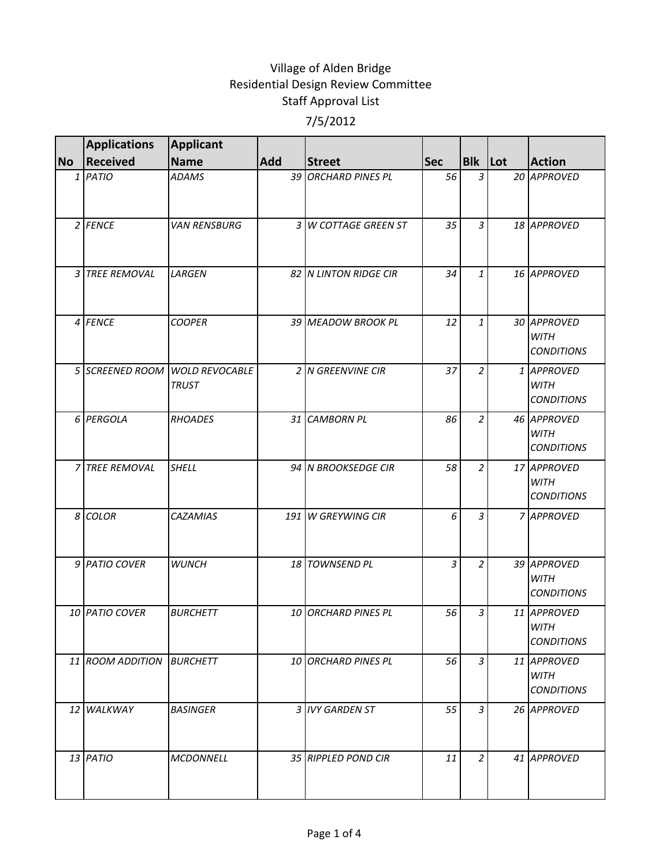|           | <b>Applications</b> | <b>Applicant</b>                      |     |                       |            |                |                                                 |
|-----------|---------------------|---------------------------------------|-----|-----------------------|------------|----------------|-------------------------------------------------|
| <b>No</b> | <b>Received</b>     | <b>Name</b>                           | Add | <b>Street</b>         | <b>Sec</b> | <b>Blk</b> Lot | <b>Action</b>                                   |
|           | $1$ PATIO           | <b>ADAMS</b>                          |     | 39 ORCHARD PINES PL   | 56         | $\overline{3}$ | 20 APPROVED                                     |
|           | $2$ FENCE           | <b>VAN RENSBURG</b>                   |     | 3 W COTTAGE GREEN ST  | 35         | 3              | 18 APPROVED                                     |
|           | 3 TREE REMOVAL      | LARGEN                                |     | 82 N LINTON RIDGE CIR | 34         | 1              | 16 APPROVED                                     |
|           | 4 FENCE             | <b>COOPER</b>                         |     | 39 MEADOW BROOK PL    | 12         | $\mathbf{1}$   | 30 APPROVED<br><b>WITH</b><br><b>CONDITIONS</b> |
|           | 5 SCREENED ROOM     | <b>WOLD REVOCABLE</b><br><b>TRUST</b> |     | 2 N GREENVINE CIR     | 37         | 2              | 1 APPROVED<br><b>WITH</b><br><b>CONDITIONS</b>  |
|           | 6 PERGOLA           | <b>RHOADES</b>                        |     | 31 CAMBORN PL         | 86         | $\overline{2}$ | 46 APPROVED<br><b>WITH</b><br><b>CONDITIONS</b> |
|           | 7 TREE REMOVAL      | <b>SHELL</b>                          |     | 94 N BROOKSEDGE CIR   | 58         | $\overline{c}$ | 17 APPROVED<br><b>WITH</b><br><b>CONDITIONS</b> |
|           | 8 COLOR             | CAZAMIAS                              |     | 191 W GREYWING CIR    | 6          | 3              | 7 APPROVED                                      |
|           | 9 PATIO COVER       | <b>WUNCH</b>                          |     | 18 TOWNSEND PL        | 3          | $\overline{2}$ | 39 APPROVED<br><b>WITH</b><br><b>CONDITIONS</b> |
|           | 10 PATIO COVER      | <b>BURCHETT</b>                       |     | 10 ORCHARD PINES PL   | 56         | 3              | 11 APPROVED<br><b>WITH</b><br><b>CONDITIONS</b> |
|           | 11 ROOM ADDITION    | <b>BURCHETT</b>                       |     | 10 ORCHARD PINES PL   | 56         | 3 <sup>1</sup> | 11 APPROVED<br><b>WITH</b><br><b>CONDITIONS</b> |
|           | 12 WALKWAY          | <b>BASINGER</b>                       |     | 3 IVY GARDEN ST       | 55         | 3 <sup>1</sup> | 26 APPROVED                                     |
|           | 13 PATIO            | <b>MCDONNELL</b>                      |     | 35 RIPPLED POND CIR   | 11         | $\overline{2}$ | 41 APPROVED                                     |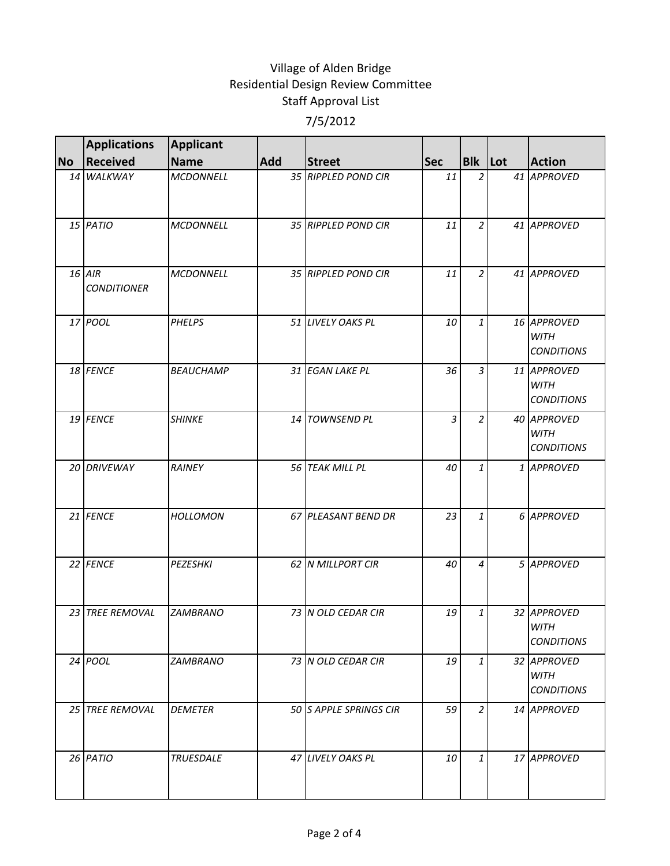|           | <b>Applications</b>            | <b>Applicant</b> |     |                        |                |                |                                                 |
|-----------|--------------------------------|------------------|-----|------------------------|----------------|----------------|-------------------------------------------------|
| <b>No</b> | <b>Received</b>                | <b>Name</b>      | Add | <b>Street</b>          | <b>Sec</b>     | Blk Lot        | <b>Action</b>                                   |
|           | 14 WALKWAY                     | <b>MCDONNELL</b> |     | 35 RIPPLED POND CIR    | 11             | $\overline{2}$ | 41 APPROVED                                     |
|           | 15 PATIO                       | <b>MCDONNELL</b> |     | 35 RIPPLED POND CIR    | 11             | $\overline{2}$ | 41 APPROVED                                     |
|           | $16$ AIR<br><b>CONDITIONER</b> | <b>MCDONNELL</b> |     | 35 RIPPLED POND CIR    | 11             | $\overline{2}$ | 41 APPROVED                                     |
|           | 17 POOL                        | <b>PHELPS</b>    |     | 51 LIVELY OAKS PL      | 10             | $\mathbf{1}$   | 16 APPROVED<br><b>WITH</b><br><b>CONDITIONS</b> |
|           | 18 FENCE                       | <b>BEAUCHAMP</b> |     | 31 EGAN LAKE PL        | 36             | $\mathfrak{Z}$ | 11 APPROVED<br><b>WITH</b><br><b>CONDITIONS</b> |
|           | 19 FENCE                       | <b>SHINKE</b>    |     | 14 TOWNSEND PL         | $\overline{3}$ | $\overline{2}$ | 40 APPROVED<br><b>WITH</b><br><b>CONDITIONS</b> |
|           | 20 DRIVEWAY                    | RAINEY           |     | 56 TEAK MILL PL        | 40             | $\mathbf{1}$   | 1 APPROVED                                      |
|           | 21 FENCE                       | <b>HOLLOMON</b>  |     | 67 PLEASANT BEND DR    | 23             | $\mathbf{1}$   | 6 APPROVED                                      |
|           | 22 FENCE                       | <b>PEZESHKI</b>  |     | 62 N MILLPORT CIR      | 40             | 4              | 5 APPROVED                                      |
|           | 23 TREE REMOVAL                | <b>ZAMBRANO</b>  |     | 73 IN OLD CEDAR CIR    | 19             | 1              | 32 APPROVED<br><b>WITH</b><br><b>CONDITIONS</b> |
|           | 24 POOL                        | <b>ZAMBRANO</b>  |     | 73 N OLD CEDAR CIR     | 19             | $\mathbf{1}$   | 32 APPROVED<br><b>WITH</b><br><b>CONDITIONS</b> |
|           | 25 TREE REMOVAL                | <b>DEMETER</b>   |     | 50 S APPLE SPRINGS CIR | 59             | $\overline{2}$ | 14 APPROVED                                     |
|           | 26 PATIO                       | <b>TRUESDALE</b> |     | 47 LIVELY OAKS PL      | 10             | $\mathbf{1}$   | 17 APPROVED                                     |
|           |                                |                  |     |                        |                |                |                                                 |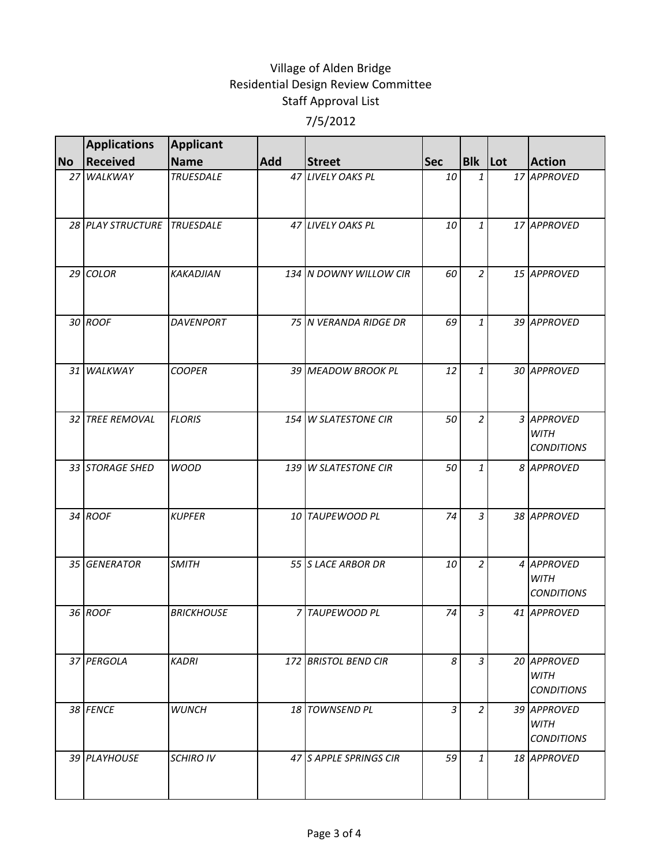|           | <b>Applications</b>         | <b>Applicant</b>  |     |                        |                |                |                                                 |
|-----------|-----------------------------|-------------------|-----|------------------------|----------------|----------------|-------------------------------------------------|
| <b>No</b> | <b>Received</b>             | <b>Name</b>       | Add | <b>Street</b>          | <b>Sec</b>     | <b>Blk</b> Lot | <b>Action</b>                                   |
|           | 27 WALKWAY                  | <b>TRUESDALE</b>  |     | 47 LIVELY OAKS PL      | 10             | 1              | 17 APPROVED                                     |
|           | 28 PLAY STRUCTURE TRUESDALE |                   |     | 47 LIVELY OAKS PL      | 10             | $\mathbf{1}$   | 17 APPROVED                                     |
|           | 29 COLOR                    | <b>KAKADJIAN</b>  |     | 134 N DOWNY WILLOW CIR | 60             | $\overline{2}$ | 15 APPROVED                                     |
|           | 30 ROOF                     | <b>DAVENPORT</b>  |     | 75 N VERANDA RIDGE DR  | 69             | $\mathbf{1}$   | 39 APPROVED                                     |
|           | 31 WALKWAY                  | <b>COOPER</b>     |     | 39 MEADOW BROOK PL     | 12             | 1              | 30 APPROVED                                     |
|           | 32 TREE REMOVAL             | <b>FLORIS</b>     |     | 154 W SLATESTONE CIR   | 50             | $\overline{2}$ | 3 APPROVED<br><b>WITH</b><br><b>CONDITIONS</b>  |
|           | 33 STORAGE SHED             | <b>WOOD</b>       |     | 139 W SLATESTONE CIR   | 50             | 1              | 8 APPROVED                                      |
|           | 34 ROOF                     | <b>KUPFER</b>     |     | 10 TAUPEWOOD PL        | 74             | $\overline{3}$ | 38 APPROVED                                     |
|           | 35 GENERATOR                | <b>SMITH</b>      |     | 55 S LACE ARBOR DR     | 10             | $\overline{2}$ | 4 APPROVED<br><b>WITH</b><br><b>CONDITIONS</b>  |
|           | 36 ROOF                     | <b>BRICKHOUSE</b> |     | 7 TAUPEWOOD PL         | 74             | 3              | 41 APPROVED                                     |
|           | 37 PERGOLA                  | <b>KADRI</b>      |     | 172 BRISTOL BEND CIR   | 8              | $\overline{3}$ | 20 APPROVED<br><b>WITH</b><br><b>CONDITIONS</b> |
|           | 38 FENCE                    | <b>WUNCH</b>      |     | 18 TOWNSEND PL         | $\overline{3}$ | $\overline{2}$ | 39 APPROVED<br>WITH<br><b>CONDITIONS</b>        |
|           | 39 PLAYHOUSE                | <b>SCHIRO IV</b>  |     | 47 S APPLE SPRINGS CIR | 59             | $\mathbf{1}$   | 18 APPROVED                                     |